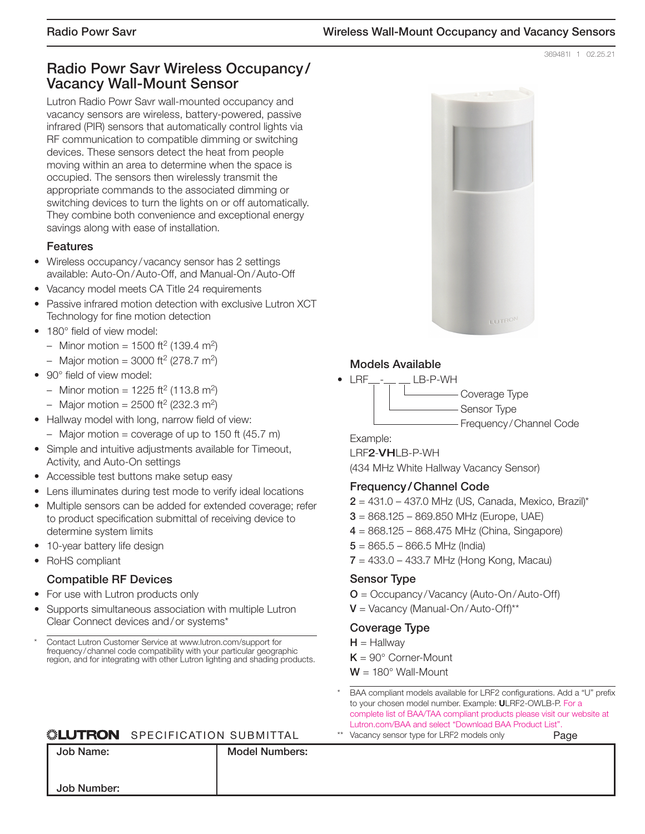369481l 1 02.25.21

# **Radio Powr Savr Wireless Occupancy / Vacancy Wall-Mount Sensor**

Lutron Radio Powr Savr wall-mounted occupancy and vacancy sensors are wireless, battery-powered, passive infrared (PIR) sensors that automatically control lights via RF communication to compatible dimming or switching devices. These sensors detect the heat from people moving within an area to determine when the space is occupied. The sensors then wirelessly transmit the appropriate commands to the associated dimming or switching devices to turn the lights on or off automatically. They combine both convenience and exceptional energy savings along with ease of installation.

#### **Features**

- Wireless occupancy / vacancy sensor has 2 settings available: Auto-On / Auto-Off, and Manual-On / Auto-Off
- Vacancy model meets CA Title 24 requirements
- Passive infrared motion detection with exclusive Lutron XCT Technology for fine motion detection
- 180° field of view model:
	- Minor motion = 1500 ft<sup>2</sup> (139.4 m<sup>2</sup>)
	- Major motion =  $3000$  ft<sup>2</sup> (278.7 m<sup>2</sup>)
- 90° field of view model:
	- Minor motion =  $1225 \text{ ft}^2 (113.8 \text{ m}^2)$
	- Major motion =  $2500$  ft<sup>2</sup> (232.3 m<sup>2</sup>)
- Hallway model with long, narrow field of view:
	- $-$  Major motion = coverage of up to 150 ft (45.7 m)
- Simple and intuitive adjustments available for Timeout, Activity, and Auto-On settings
- Accessible test buttons make setup easy
- Lens illuminates during test mode to verify ideal locations
- Multiple sensors can be added for extended coverage: refer to product specification submittal of receiving device to determine system limits
- 10-year battery life design
- RoHS compliant

#### **Compatible RF Devices**

- For use with Lutron products only
- Supports simultaneous association with multiple Lutron Clear Connect devices and / or systems\*
- \* Contact Lutron Customer Service at www.lutron.com/support for frequency / channel code compatibility with your particular geographic region, and for integrating with other Lutron lighting and shading products.

#### **SEUTRON** SPECIFICATION SUBMITTAL

# **Models Available** • LRF - LB-P-WH Coverage Type Sensor Type Frequency / Channel Code Example: LRF**2**-**VH**LB-P-WH

(434 MHz White Hallway Vacancy Sensor)

#### **Frequency / Channel Code**

- $2 = 431.0 437.0$  MHz (US, Canada, Mexico, Brazil)\*
- **3** = 868.125 869.850 MHz (Europe, UAE)
- **4** = 868.125 868.475 MHz (China, Singapore)
- $5 = 865.5 866.5$  MHz (India)
- **7** = 433.0 433.7 MHz (Hong Kong, Macau)

#### **Sensor Type**

- **O** = Occupancy / Vacancy (Auto-On / Auto-Off)
- **V** = Vacancy (Manual-On / Auto-Off)\*\*

#### **Coverage Type**

- $H =$  Hallway
- **K** = 90° Corner-Mount
- **W** = 180° Wall-Mount
- BAA compliant models available for LRF2 configurations. Add a "U" prefix to your chosen model number. Example: **U**LRF2-OWLB-P. For a complete list of BAA/TAA compliant products please visit our website at Lutron.com/BAA and select "Download BAA Product List".
- \*\* Vacancy sensor type for LRF2 models only

SPECIFICATION SUBMITTAL PAGE AND LOCATION SUBMITTAL PAGE AND LOCATION SUBMITTAL PAGE AND LOCATION SUBMITTAL PAGE AND LOCATION SUBMITTAL PAGE AND LOCATION SUBMITTAL PAGE AND LOCATION SUBMITTAL PAGE AND LOCATION SUBMITTAL PA **Job Name: Job Number: Model Numbers:**

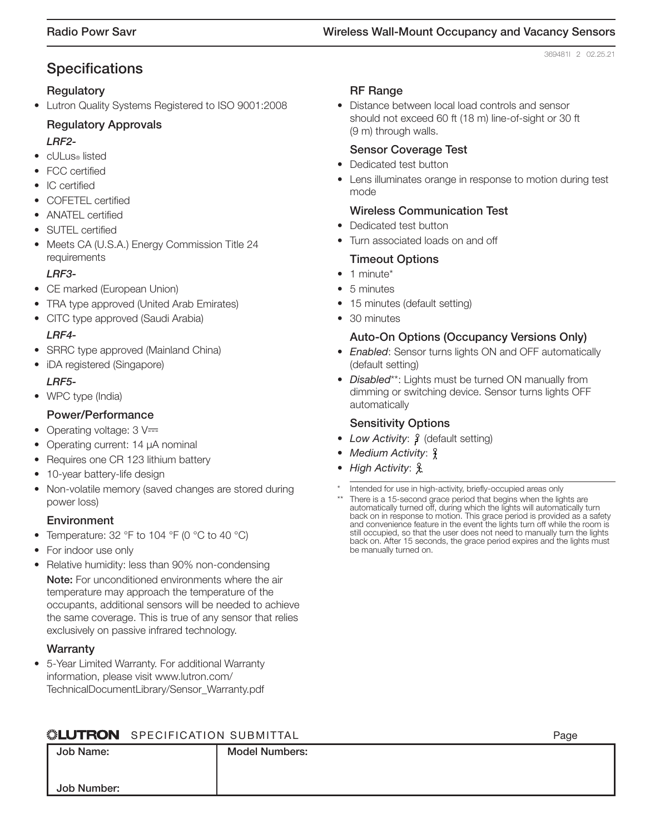369481l 2 02.25.21

# **Specifications**

#### **Regulatory**

• Lutron Quality Systems Registered to ISO 9001:2008

# **Regulatory Approvals**

*LRF2-*

- cULus® listed
- FCC certified
- IC certified
- COFETEL certified
- ANATEL certified
- SUTEL certified
- Meets CA (U.S.A.) Energy Commission Title 24 requirements

#### *LRF3-*

- CE marked (European Union)
- TRA type approved (United Arab Emirates)
- CITC type approved (Saudi Arabia)

#### *LRF4-*

- SRRC type approved (Mainland China)
- iDA registered (Singapore) *LRF5-*
- WPC type (India)

#### **Power/Performance**

- Operating voltage:  $3 \nV =$
- Operating current: 14 μA nominal
- Requires one CR 123 lithium battery
- 10-year battery-life design
- Non-volatile memory (saved changes are stored during power loss)

#### **Environment**

- Temperature: 32 °F to 104 °F (0 °C to 40 °C)
- For indoor use only
- Relative humidity: less than 90% non-condensing **Note:** For unconditioned environments where the air temperature may approach the temperature of the occupants, additional sensors will be needed to achieve the same coverage. This is true of any sensor that relies exclusively on passive infrared technology.

#### **Warranty**

**Job Name:**

**Job Number:**

• 5-Year Limited Warranty. For additional Warranty information, please visit www.lutron.com/ TechnicalDocumentLibrary/Sensor\_Warranty.pdf

#### **RF Range**

• Distance between local load controls and sensor should not exceed 60 ft (18 m) line-of-sight or 30 ft (9 m) through walls.

#### **Sensor Coverage Test**

- Dedicated test button
- Lens illuminates orange in response to motion during test mode

#### **Wireless Communication Test**

- Dedicated test button
- Turn associated loads on and off

#### **Timeout Options**

- 1 minute<sup>\*</sup>
- 5 minutes
- 15 minutes (default setting)
- 30 minutes

#### **Auto-On Options (Occupancy Versions Only)**

- Enabled: Sensor turns lights ON and OFF automatically (default setting)
- Disabled\*\*: Lights must be turned ON manually from dimming or switching device. Sensor turns lights OFF automatically

#### **Sensitivity Options**

- Low Activity:  $\frac{1}{2}$  (default setting)
- Medium Activity:  $\frac{6}{3}$
- High Activity: £
- Intended for use in high-activity, briefly-occupied areas only
- There is a 15-second grace period that begins when the lights are automatically turned off, during which the lights will automatically turn back on in response to motion. This grace period is provided as a safety and convenience feature in the event the lights turn off while the room is still occupied, so that the user does not need to manually turn the lights back on. After 15 seconds, the grace period expires and the lights must be manually turned on.

 $D_{200}$ 

# **NEUTRON** SPECIFICATION SUBMITTAL

|           |                       | . ugu |
|-----------|-----------------------|-------|
| b Name:   | <b>Model Numbers:</b> |       |
|           |                       |       |
| b Number: |                       |       |
|           |                       |       |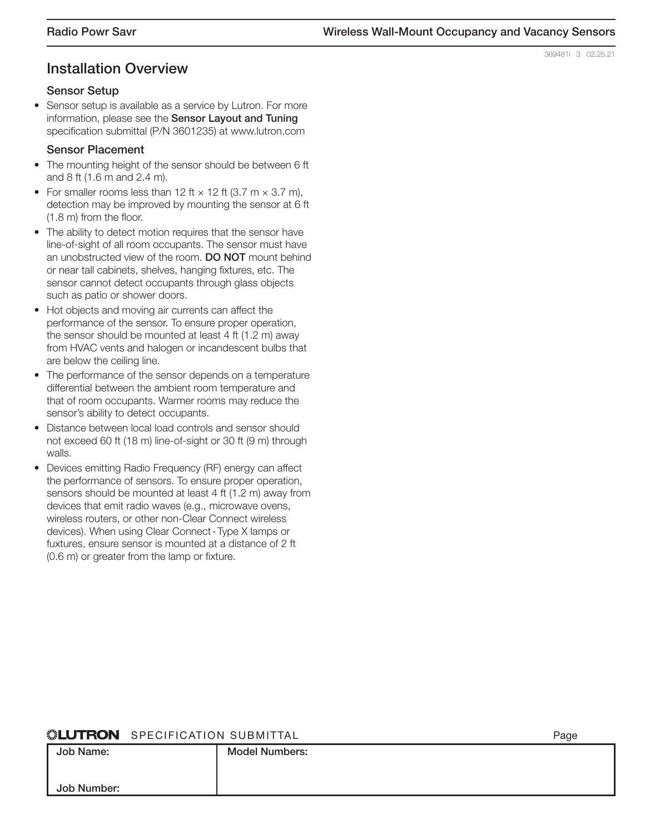# **Installation Overview**

#### **Sensor Setup**

• Sensor setup is available as a service by Lutron. For more information, please see the **Sensor Layout and Tuning** specification submittal (P/N 3601235) at www.lutron.com

#### **Sensor Placement**

- The mounting height of the sensor should be between 6 ft and 8 ft (1.6 m and 2.4 m).
- For smaller rooms less than 12 ft  $\times$  12 ft (3.7 m  $\times$  3.7 m), detection may be improved by mounting the sensor at 6 ft (1.8 m) from the floor.
- The ability to detect motion requires that the sensor have line-of-sight of all room occupants. The sensor must have an unobstructed view of the room. **DO NOT** mount behind or near tall cabinets, shelves, hanging fixtures, etc. The sensor cannot detect occupants through glass objects such as patio or shower doors.
- Hot objects and moving air currents can affect the performance of the sensor. To ensure proper operation, the sensor should be mounted at least 4 ft (1.2 m) away from HVAC vents and halogen or incandescent bulbs that are below the ceiling line.
- The performance of the sensor depends on a temperature differential between the ambient room temperature and that of room occupants. Warmer rooms may reduce the sensor's ability to detect occupants.
- Distance between local load controls and sensor should not exceed 60 ft (18 m) line-of-sight or 30 ft (9 m) through walls.
- Devices emitting Radio Frequency (RF) energy can affect the performance of sensors. To ensure proper operation, sensors should be mounted at least 4 ft (1.2 m) away from devices that emit radio waves (e.g., microwave ovens, wireless routers, or other non-Clear Connect wireless devices). When using Clear Connect - Type X lamps or fuxtures, ensure sensor is mounted at a distance of 2 ft (0.6 m) or greater from the lamp or fixture.

#### **ALUTRON** SPECIFICATION SUBMITTAL

| EUIRUR OILOILIOAIION OODIMILIAL |                       | uyu |
|---------------------------------|-----------------------|-----|
| Job Name:                       | <b>Model Numbers:</b> |     |
|                                 |                       |     |
| Job Number:                     |                       |     |

369481l 3 02.25.21

 $D_{200}$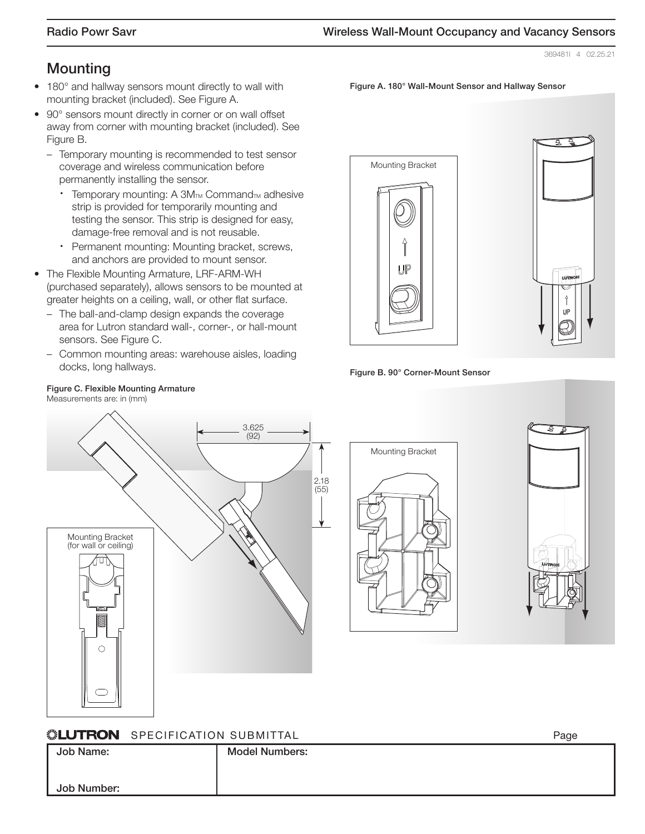**Figure A. 180° Wall-Mount Sensor and Hallway Sensor**

369481l 4 02.25.21

# **Mounting**

- 180° and hallway sensors mount directly to wall with mounting bracket (included). See Figure A.
- 90° sensors mount directly in corner or on wall offset away from corner with mounting bracket (included). See Figure B.
	- Temporary mounting is recommended to test sensor coverage and wireless communication before permanently installing the sensor.
		- Temporary mounting: A 3M™ Command™ adhesive strip is provided for temporarily mounting and testing the sensor. This strip is designed for easy, damage-free removal and is not reusable.
		- ∙ Permanent mounting: Mounting bracket, screws, and anchors are provided to mount sensor.
- The Flexible Mounting Armature, LRF-ARM-WH (purchased separately), allows sensors to be mounted at greater heights on a ceiling, wall, or other flat surface.
	- The ball-and-clamp design expands the coverage area for Lutron standard wall-, corner-, or hall-mount sensors. See Figure C.
	- Common mounting areas: warehouse aisles, loading docks, long hallways.





#### **Figure B. 90° Corner-Mount Sensor**

# 3.625 (92) 2.18 (55)Mounting Bracket (for wall or ceiling)  $\bigcirc$





 $D_{200}$ 

#### **WILLTRON SPECIFICATION SURMITTAL**

| WEDITION SELVIFICATION SUBMITTAL |                       | г ay≂ |
|----------------------------------|-----------------------|-------|
| Job Name:                        | <b>Model Numbers:</b> |       |
|                                  |                       |       |
|                                  |                       |       |
|                                  |                       |       |
| Job Number:                      |                       |       |
|                                  |                       |       |

#### **Figure C. Flexible Mounting Armature**

Measurements are: in (mm)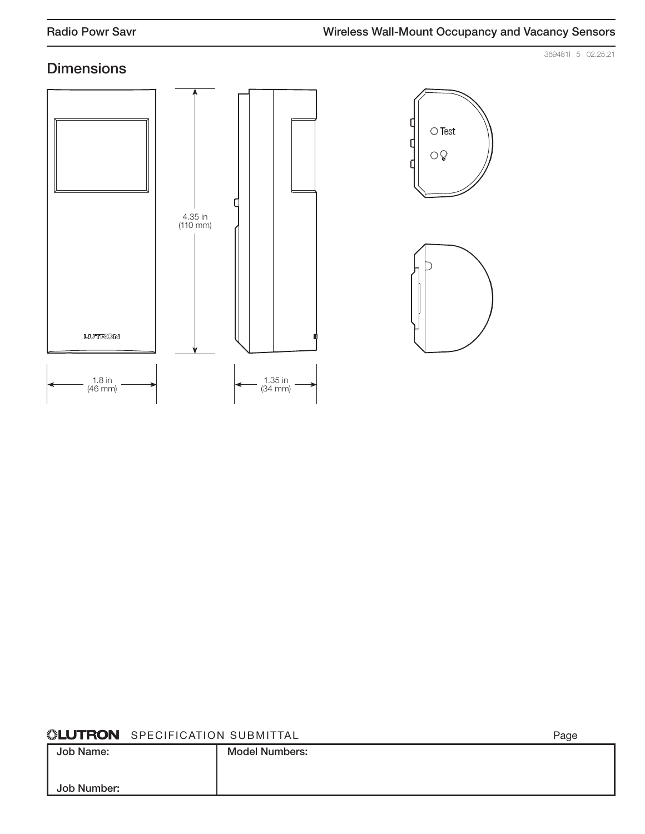369481l 5 02.25.21

# **Dimensions**







SPECIFICATION SUBMITTAL PAGE AND LOCAL PAGE AND LOCAL PAGE AND LOCAL PAGE AND LOCAL PAGE AND LOCAL PAGE AND LOCAL PAGE AND LOCAL PAGE AND LOCAL PAGE AND LOCAL PAGE AND LOCAL PAGE AND LOCAL PAGE AND LOCAL PAGE AND LOCAL PAG **Job Name: Job Number: Model Numbers:**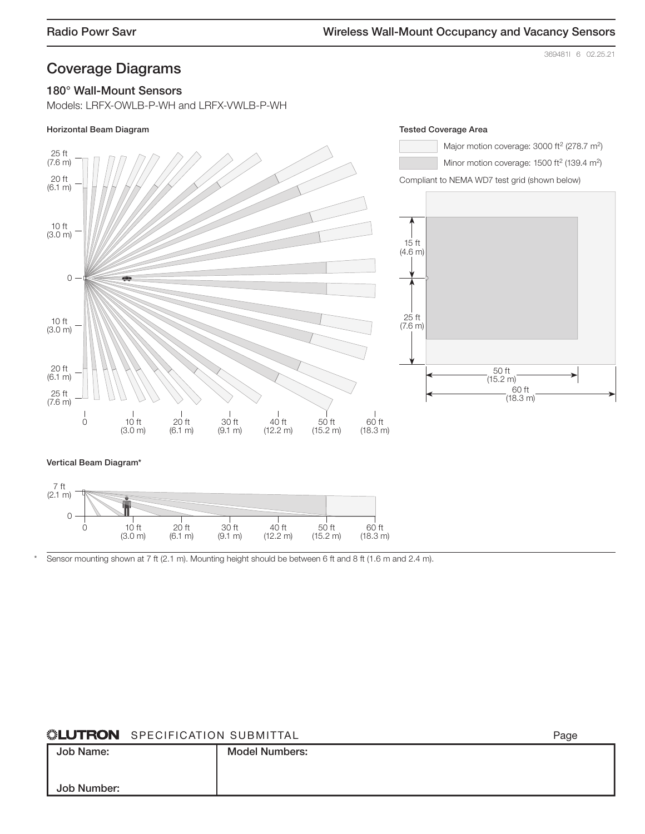#### 369481l 6 02.25.21

Page

## **Coverage Diagrams**

#### **180° Wall-Mount Sensors**

Models: LRFX-OWLB-P-WH and LRFX-VWLB-P-WH



#### **Vertical Beam Diagram\***



Sensor mounting shown at 7 ft (2.1 m). Mounting height should be between 6 ft and 8 ft (1.6 m and 2.4 m).

## **WELUTRON** SPECIFICATION SUBMITTAL

|             |                       | . |
|-------------|-----------------------|---|
| Job Name:   | <b>Model Numbers:</b> |   |
|             |                       |   |
|             |                       |   |
| Job Number: |                       |   |
|             |                       |   |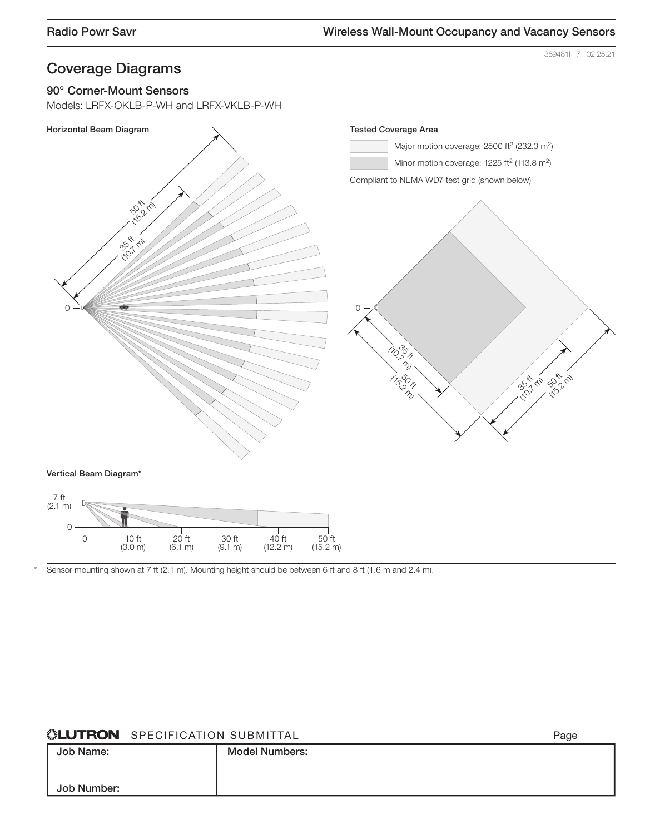369481l 7 02.25.21

# **Coverage Diagrams**

#### **90° Corner-Mount Sensors**

0 10 ft

(3.0 m)

Models: LRFX-OKLB-P-WH and LRFX-VKLB-P-WH



<sup>\*</sup> Sensor mounting shown at 7 ft (2.1 m). Mounting height should be between 6 ft and 8 ft (1.6 m and 2.4 m).

30 ft (9.1 m)

40 ft (12.2 m)

#### **SLUTRON** SPECIFICATION SUBMITTAL

20 ft (6.1 m)

| Job Name:<br><b>Model Numbers:</b> |  |
|------------------------------------|--|
|                                    |  |
| Job Number:                        |  |

50 ft (15.2 m)